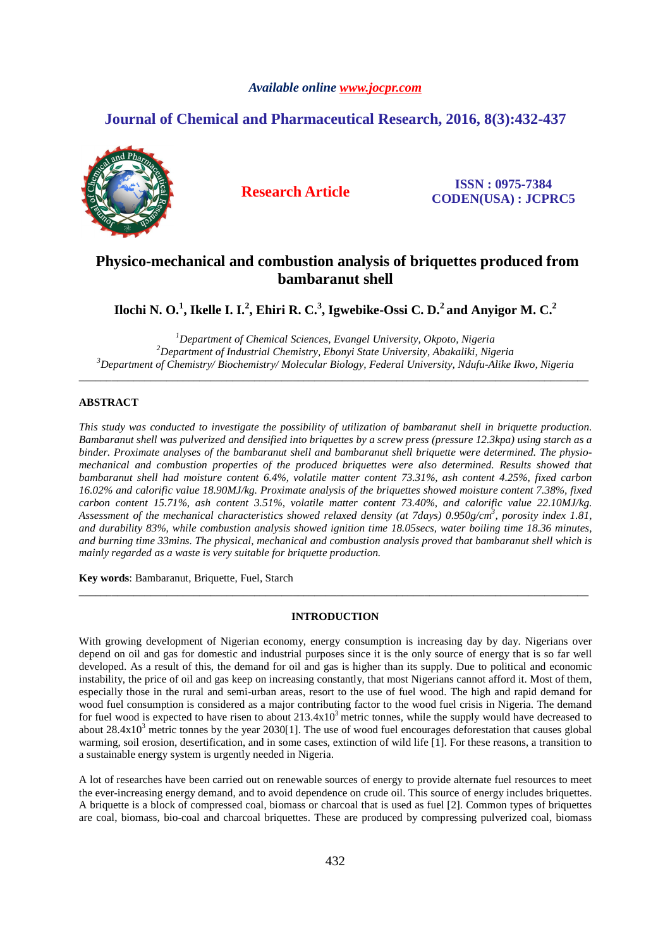# *Available online www.jocpr.com*

# **Journal of Chemical and Pharmaceutical Research, 2016, 8(3):432-437**



**Research Article ISSN : 0975-7384 CODEN(USA) : JCPRC5**

# **Physico-mechanical and combustion analysis of briquettes produced from bambaranut shell**

 $\Pi$ ochi N. O. $^1$ , Ikelle I. I. $^2$ , Ehiri R. C. $^3$ , Igwebike-Ossi C. D. $^2$  and Anyigor M. C. $^2$ 

*<sup>1</sup>Department of Chemical Sciences, Evangel University, Okpoto, Nigeria <sup>2</sup>Department of Industrial Chemistry, Ebonyi State University, Abakaliki, Nigeria <sup>3</sup>Department of Chemistry/ Biochemistry/ Molecular Biology, Federal University, Ndufu-Alike Ikwo, Nigeria* 

\_\_\_\_\_\_\_\_\_\_\_\_\_\_\_\_\_\_\_\_\_\_\_\_\_\_\_\_\_\_\_\_\_\_\_\_\_\_\_\_\_\_\_\_\_\_\_\_\_\_\_\_\_\_\_\_\_\_\_\_\_\_\_\_\_\_\_\_\_\_\_\_\_\_\_\_\_\_\_\_\_\_\_\_\_\_\_\_\_\_\_\_\_

# **ABSTRACT**

*This study was conducted to investigate the possibility of utilization of bambaranut shell in briquette production. Bambaranut shell was pulverized and densified into briquettes by a screw press (pressure 12.3kpa) using starch as a binder. Proximate analyses of the bambaranut shell and bambaranut shell briquette were determined. The physiomechanical and combustion properties of the produced briquettes were also determined. Results showed that bambaranut shell had moisture content 6.4%, volatile matter content 73.31%, ash content 4.25%, fixed carbon 16.02% and calorific value 18.90MJ/kg. Proximate analysis of the briquettes showed moisture content 7.38%, fixed carbon content 15.71%, ash content 3.51%, volatile matter content 73.40%, and calorific value 22.10MJ/kg. Assessment of the mechanical characteristics showed relaxed density (at 7days) 0.950g/cm<sup>3</sup> , porosity index 1.81, and durability 83%, while combustion analysis showed ignition time 18.05secs, water boiling time 18.36 minutes, and burning time 33mins. The physical, mechanical and combustion analysis proved that bambaranut shell which is mainly regarded as a waste is very suitable for briquette production.* 

**Key words**: Bambaranut, Briquette, Fuel, Starch

# **INTRODUCTION**

\_\_\_\_\_\_\_\_\_\_\_\_\_\_\_\_\_\_\_\_\_\_\_\_\_\_\_\_\_\_\_\_\_\_\_\_\_\_\_\_\_\_\_\_\_\_\_\_\_\_\_\_\_\_\_\_\_\_\_\_\_\_\_\_\_\_\_\_\_\_\_\_\_\_\_\_\_\_\_\_\_\_\_\_\_\_\_\_\_\_\_\_\_

With growing development of Nigerian economy, energy consumption is increasing day by day. Nigerians over depend on oil and gas for domestic and industrial purposes since it is the only source of energy that is so far well developed. As a result of this, the demand for oil and gas is higher than its supply. Due to political and economic instability, the price of oil and gas keep on increasing constantly, that most Nigerians cannot afford it. Most of them, especially those in the rural and semi-urban areas, resort to the use of fuel wood. The high and rapid demand for wood fuel consumption is considered as a major contributing factor to the wood fuel crisis in Nigeria. The demand for fuel wood is expected to have risen to about  $213.4x10<sup>3</sup>$  metric tonnes, while the supply would have decreased to about  $28.4x10<sup>3</sup>$  metric tonnes by the year  $2030[1]$ . The use of wood fuel encourages deforestation that causes global warming, soil erosion, desertification, and in some cases, extinction of wild life [1]. For these reasons, a transition to a sustainable energy system is urgently needed in Nigeria.

A lot of researches have been carried out on renewable sources of energy to provide alternate fuel resources to meet the ever-increasing energy demand, and to avoid dependence on crude oil. This source of energy includes briquettes. A briquette is a block of compressed coal, biomass or charcoal that is used as fuel [2]. Common types of briquettes are coal, biomass, bio-coal and charcoal briquettes. These are produced by compressing pulverized coal, biomass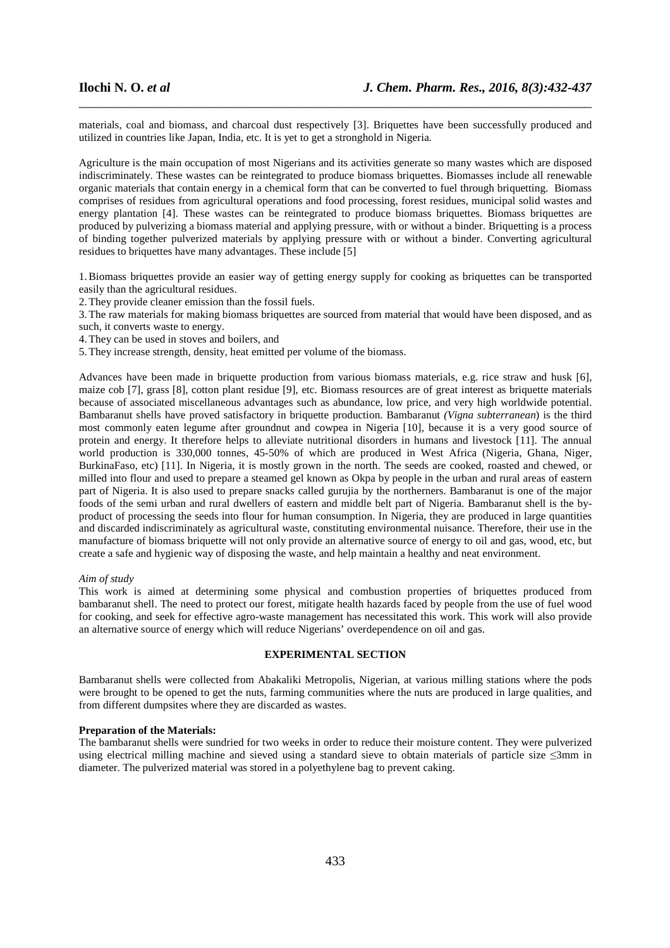materials, coal and biomass, and charcoal dust respectively [3]. Briquettes have been successfully produced and utilized in countries like Japan, India, etc. It is yet to get a stronghold in Nigeria.

\_\_\_\_\_\_\_\_\_\_\_\_\_\_\_\_\_\_\_\_\_\_\_\_\_\_\_\_\_\_\_\_\_\_\_\_\_\_\_\_\_\_\_\_\_\_\_\_\_\_\_\_\_\_\_\_\_\_\_\_\_\_\_\_\_\_\_\_\_\_\_\_\_\_\_\_\_\_

Agriculture is the main occupation of most Nigerians and its activities generate so many wastes which are disposed indiscriminately. These wastes can be reintegrated to produce biomass briquettes. Biomasses include all renewable organic materials that contain energy in a chemical form that can be converted to fuel through briquetting. Biomass comprises of residues from agricultural operations and food processing, forest residues, municipal solid wastes and energy plantation [4]. These wastes can be reintegrated to produce biomass briquettes. Biomass briquettes are produced by pulverizing a biomass material and applying pressure, with or without a binder. Briquetting is a process of binding together pulverized materials by applying pressure with or without a binder. Converting agricultural residues to briquettes have many advantages. These include [5]

1.Biomass briquettes provide an easier way of getting energy supply for cooking as briquettes can be transported easily than the agricultural residues.

2.They provide cleaner emission than the fossil fuels.

3.The raw materials for making biomass briquettes are sourced from material that would have been disposed, and as such, it converts waste to energy.

4.They can be used in stoves and boilers, and

5.They increase strength, density, heat emitted per volume of the biomass.

Advances have been made in briquette production from various biomass materials, e.g. rice straw and husk [6], maize cob [7], grass [8], cotton plant residue [9], etc. Biomass resources are of great interest as briquette materials because of associated miscellaneous advantages such as abundance, low price, and very high worldwide potential. Bambaranut shells have proved satisfactory in briquette production. Bambaranut *(Vigna subterranean*) is the third most commonly eaten legume after groundnut and cowpea in Nigeria [10], because it is a very good source of protein and energy. It therefore helps to alleviate nutritional disorders in humans and livestock [11]. The annual world production is 330,000 tonnes, 45-50% of which are produced in West Africa (Nigeria, Ghana, Niger, BurkinaFaso, etc) [11]. In Nigeria, it is mostly grown in the north. The seeds are cooked, roasted and chewed, or milled into flour and used to prepare a steamed gel known as Okpa by people in the urban and rural areas of eastern part of Nigeria. It is also used to prepare snacks called gurujia by the northerners. Bambaranut is one of the major foods of the semi urban and rural dwellers of eastern and middle belt part of Nigeria. Bambaranut shell is the byproduct of processing the seeds into flour for human consumption. In Nigeria, they are produced in large quantities and discarded indiscriminately as agricultural waste, constituting environmental nuisance. Therefore, their use in the manufacture of biomass briquette will not only provide an alternative source of energy to oil and gas, wood, etc, but create a safe and hygienic way of disposing the waste, and help maintain a healthy and neat environment.

#### *Aim of study*

This work is aimed at determining some physical and combustion properties of briquettes produced from bambaranut shell. The need to protect our forest, mitigate health hazards faced by people from the use of fuel wood for cooking, and seek for effective agro-waste management has necessitated this work. This work will also provide an alternative source of energy which will reduce Nigerians' overdependence on oil and gas.

# **EXPERIMENTAL SECTION**

Bambaranut shells were collected from Abakaliki Metropolis, Nigerian, at various milling stations where the pods were brought to be opened to get the nuts, farming communities where the nuts are produced in large qualities, and from different dumpsites where they are discarded as wastes.

#### **Preparation of the Materials:**

The bambaranut shells were sundried for two weeks in order to reduce their moisture content. They were pulverized using electrical milling machine and sieved using a standard sieve to obtain materials of particle size ≤3mm in diameter. The pulverized material was stored in a polyethylene bag to prevent caking.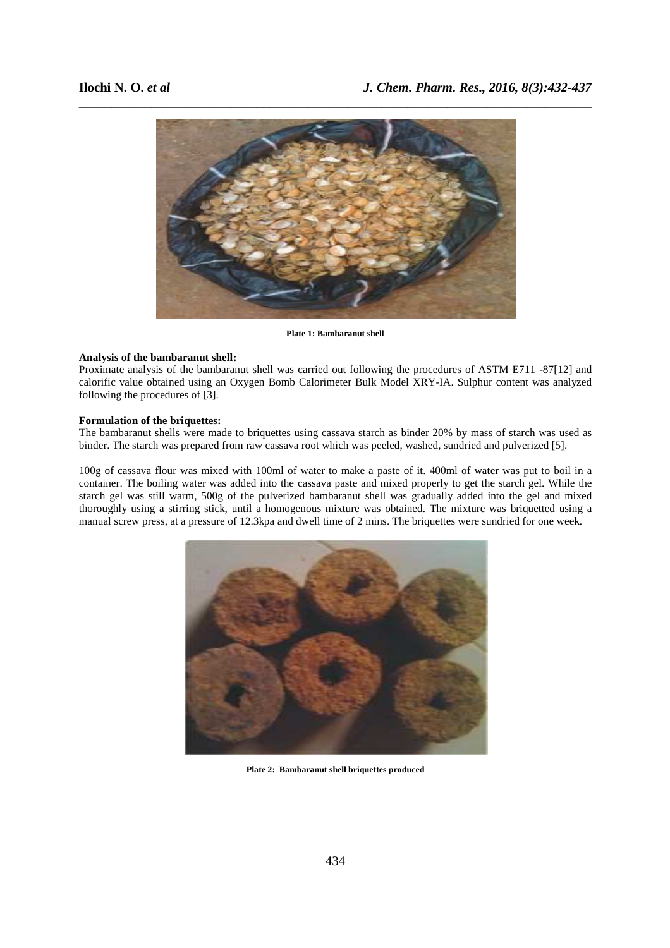

**Plate 1: Bambaranut shell**

# **Analysis of the bambaranut shell:**

Proximate analysis of the bambaranut shell was carried out following the procedures of ASTM E711 -87[12] and calorific value obtained using an Oxygen Bomb Calorimeter Bulk Model XRY-IA. Sulphur content was analyzed following the procedures of [3].

### **Formulation of the briquettes:**

The bambaranut shells were made to briquettes using cassava starch as binder 20% by mass of starch was used as binder. The starch was prepared from raw cassava root which was peeled, washed, sundried and pulverized [5].

100g of cassava flour was mixed with 100ml of water to make a paste of it. 400ml of water was put to boil in a container. The boiling water was added into the cassava paste and mixed properly to get the starch gel. While the starch gel was still warm, 500g of the pulverized bambaranut shell was gradually added into the gel and mixed thoroughly using a stirring stick, until a homogenous mixture was obtained. The mixture was briquetted using a manual screw press, at a pressure of 12.3kpa and dwell time of 2 mins. The briquettes were sundried for one week.



**Plate 2: Bambaranut shell briquettes produced**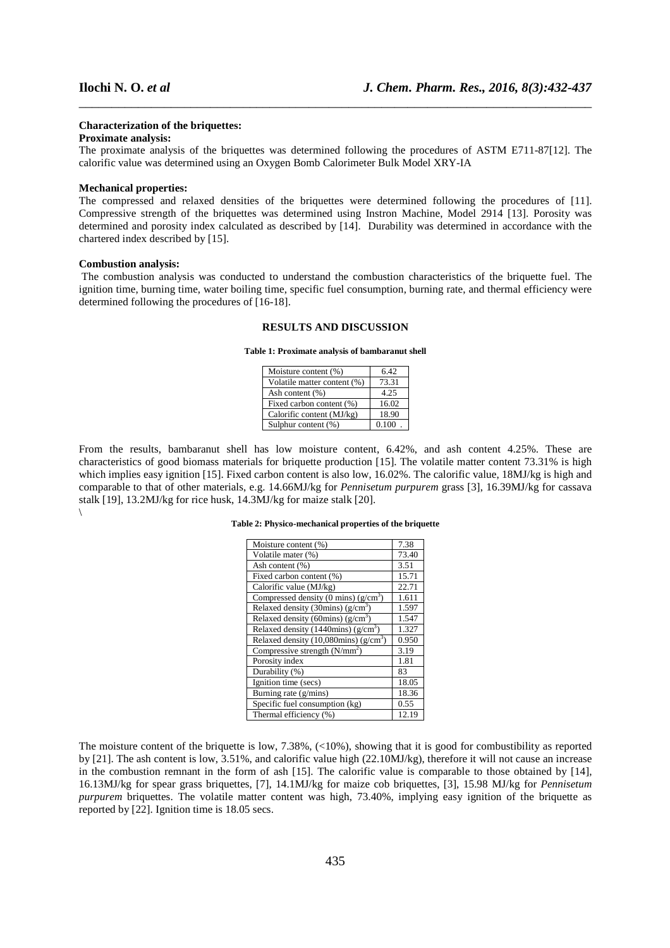### **Characterization of the briquettes:**

#### **Proximate analysis:**

The proximate analysis of the briquettes was determined following the procedures of ASTM E711-87[12]. The calorific value was determined using an Oxygen Bomb Calorimeter Bulk Model XRY-IA

\_\_\_\_\_\_\_\_\_\_\_\_\_\_\_\_\_\_\_\_\_\_\_\_\_\_\_\_\_\_\_\_\_\_\_\_\_\_\_\_\_\_\_\_\_\_\_\_\_\_\_\_\_\_\_\_\_\_\_\_\_\_\_\_\_\_\_\_\_\_\_\_\_\_\_\_\_\_

# **Mechanical properties:**

The compressed and relaxed densities of the briquettes were determined following the procedures of [11]. Compressive strength of the briquettes was determined using Instron Machine, Model 2914 [13]. Porosity was determined and porosity index calculated as described by [14].Durability was determined in accordance with the chartered index described by [15].

#### **Combustion analysis:**

 The combustion analysis was conducted to understand the combustion characteristics of the briquette fuel. The ignition time, burning time, water boiling time, specific fuel consumption, burning rate, and thermal efficiency were determined following the procedures of [16-18].

## **RESULTS AND DISCUSSION**

**Table 1: Proximate analysis of bambaranut shell**

| Moisture content (%)        | 6.42  |
|-----------------------------|-------|
| Volatile matter content (%) | 73.31 |
| Ash content (%)             | 4.25  |
| Fixed carbon content (%)    | 16.02 |
| Calorific content (MJ/kg)   | 18.90 |
| Sulphur content (%)         | 0.100 |

From the results, bambaranut shell has low moisture content, 6.42%, and ash content 4.25%. These are characteristics of good biomass materials for briquette production [15]. The volatile matter content 73.31% is high which implies easy ignition [15]. Fixed carbon content is also low, 16.02%. The calorific value, 18MJ/kg is high and comparable to that of other materials, e.g. 14.66MJ/kg for *Pennisetum purpurem* grass [3], 16.39MJ/kg for cassava stalk [19], 13.2MJ/kg for rice husk, 14.3MJ/kg for maize stalk [20]. \

**Table 2: Physico-mechanical properties of the briquette** 

| Moisture content (%)                   | 7.38  |
|----------------------------------------|-------|
| Volatile mater (%)                     | 73.40 |
| Ash content $(\%)$                     | 3.51  |
| Fixed carbon content (%)               | 15.71 |
| Calorific value (MJ/kg)                | 22.71 |
| Compressed density (0 mins) $(g/cm3)$  | 1.611 |
| Relaxed density (30mins) $(g/cm3)$     | 1.597 |
| Relaxed density (60mins) $(g/cm^3)$    | 1.547 |
| Relaxed density (1440mins) $(g/cm3)$   | 1.327 |
| Relaxed density (10,080mins) $(g/cm3)$ | 0.950 |
| Compressive strength $(N/mm2)$         | 3.19  |
| Porosity index                         | 1.81  |
| Durability (%)                         | 83    |
| Ignition time (secs)                   | 18.05 |
| Burning rate (g/mins)                  | 18.36 |
| Specific fuel consumption (kg)         | 0.55  |
| Thermal efficiency (%)                 | 12.19 |

The moisture content of the briquette is low, 7.38%,  $\left( \langle 10\% \rangle \right)$ , showing that it is good for combustibility as reported by [21]. The ash content is low, 3.51%, and calorific value high (22.10MJ/kg), therefore it will not cause an increase in the combustion remnant in the form of ash [15]. The calorific value is comparable to those obtained by [14], 16.13MJ/kg for spear grass briquettes, [7], 14.1MJ/kg for maize cob briquettes, [3], 15.98 MJ/kg for *Pennisetum purpurem* briquettes. The volatile matter content was high, 73.40%, implying easy ignition of the briquette as reported by [22]. Ignition time is 18.05 secs.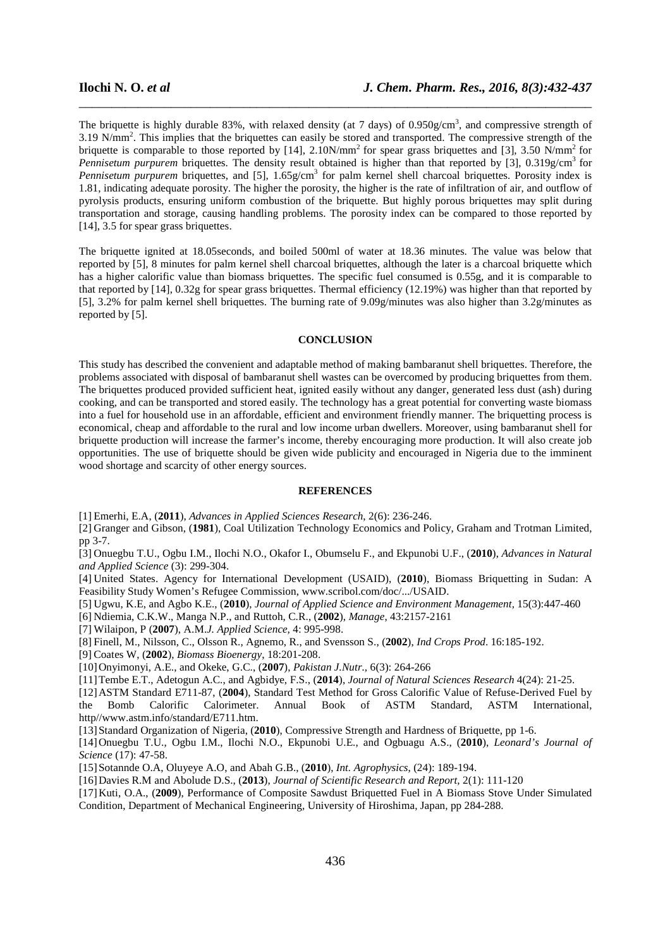The briquette is highly durable 83%, with relaxed density (at 7 days) of  $0.950g/cm<sup>3</sup>$ , and compressive strength of 3.19 N/mm<sup>2</sup>. This implies that the briquettes can easily be stored and transported. The compressive strength of the briquette is comparable to those reported by  $[14]$ ,  $2.10N/mm^2$  for spear grass briquettes and  $[3]$ ,  $3.50 N/mm^2$  for *Pennisetum purpurem* briquettes. The density result obtained is higher than that reported by [3], 0.319g/cm<sup>3</sup> for Pennisetum purpurem briquettes, and [5], 1.65g/cm<sup>3</sup> for palm kernel shell charcoal briquettes. Porosity index is 1.81, indicating adequate porosity. The higher the porosity, the higher is the rate of infiltration of air, and outflow of pyrolysis products, ensuring uniform combustion of the briquette. But highly porous briquettes may split during transportation and storage, causing handling problems. The porosity index can be compared to those reported by [14], 3.5 for spear grass briquettes.

\_\_\_\_\_\_\_\_\_\_\_\_\_\_\_\_\_\_\_\_\_\_\_\_\_\_\_\_\_\_\_\_\_\_\_\_\_\_\_\_\_\_\_\_\_\_\_\_\_\_\_\_\_\_\_\_\_\_\_\_\_\_\_\_\_\_\_\_\_\_\_\_\_\_\_\_\_\_

The briquette ignited at 18.05seconds, and boiled 500ml of water at 18.36 minutes. The value was below that reported by [5], 8 minutes for palm kernel shell charcoal briquettes, although the later is a charcoal briquette which has a higher calorific value than biomass briquettes. The specific fuel consumed is 0.55g, and it is comparable to that reported by [14], 0.32g for spear grass briquettes. Thermal efficiency (12.19%) was higher than that reported by [5], 3.2% for palm kernel shell briquettes. The burning rate of 9.09g/minutes was also higher than 3.2g/minutes as reported by [5].

# **CONCLUSION**

This study has described the convenient and adaptable method of making bambaranut shell briquettes. Therefore, the problems associated with disposal of bambaranut shell wastes can be overcomed by producing briquettes from them. The briquettes produced provided sufficient heat, ignited easily without any danger, generated less dust (ash) during cooking, and can be transported and stored easily. The technology has a great potential for converting waste biomass into a fuel for household use in an affordable, efficient and environment friendly manner. The briquetting process is economical, cheap and affordable to the rural and low income urban dwellers. Moreover, using bambaranut shell for briquette production will increase the farmer's income, thereby encouraging more production. It will also create job opportunities. The use of briquette should be given wide publicity and encouraged in Nigeria due to the imminent wood shortage and scarcity of other energy sources.

#### **REFERENCES**

[1] Emerhi, E.A, (**2011**), *Advances in Applied Sciences Research*, 2(6): 236-246.

[2] Granger and Gibson, (**1981**), Coal Utilization Technology Economics and Policy, Graham and Trotman Limited, pp 3-7.

[3] Onuegbu T.U., Ogbu I.M., Ilochi N.O., Okafor I., Obumselu F., and Ekpunobi U.F., (**2010**), *Advances in Natural and Applied Science* (3): 299-304.

[4] United States. Agency for International Development (USAID), (**2010**), Biomass Briquetting in Sudan: A Feasibility Study Women's Refugee Commission, www.scribol.com/doc/.../USAID.

[5] Ugwu, K.E, and Agbo K.E., (**2010**), *Journal of Applied Science and Environment Management,* 15(3):447-460

[6] Ndiemia, C.K.W., Manga N.P., and Ruttoh, C.R., (**2002**), *Manage*, 43:2157-2161

[7] Wilaipon, P (**2007**), A.M.*J. Applied Science,* 4: 995-998.

[8] Finell, M., Nilsson, C., Olsson R., Agnemo, R., and Svensson S., (**2002**), *Ind Crops Prod*. 16:185-192.

[9] Coates W, (**2002**), *Biomass Bioenergy*, 18:201-208.

[10]Onyimonyi, A.E., and Okeke, G.C., (**2007**), *Pakistan J.Nutr.,* 6(3): 264-266

[11]Tembe E.T., Adetogun A.C., and Agbidye, F.S., (**2014**), *Journal of Natural Sciences Research* 4(24): 21-25.

[12]ASTM Standard E711-87, (**2004**), Standard Test Method for Gross Calorific Value of Refuse-Derived Fuel by the Bomb Calorific Calorimeter. Annual Book of ASTM Standard, ASTM International, http//www.astm.info/standard/E711.htm.

[13]Standard Organization of Nigeria, (**2010**), Compressive Strength and Hardness of Briquette, pp 1-6.

[14]Onuegbu T.U., Ogbu I.M., Ilochi N.O., Ekpunobi U.E., and Ogbuagu A.S., (**2010**), *Leonard's Journal of Science* (17): 47-58.

[15]Sotannde O.A, Oluyeye A.O, and Abah G.B., (**2010**), *Int. Agrophysics*, (24): 189-194.

[16]Davies R.M and Abolude D.S., (**2013**), *Journal of Scientific Research and Report,* 2(1): 111-120

[17]Kuti, O.A., (**2009**), Performance of Composite Sawdust Briquetted Fuel in A Biomass Stove Under Simulated Condition, Department of Mechanical Engineering, University of Hiroshima, Japan, pp 284-288.